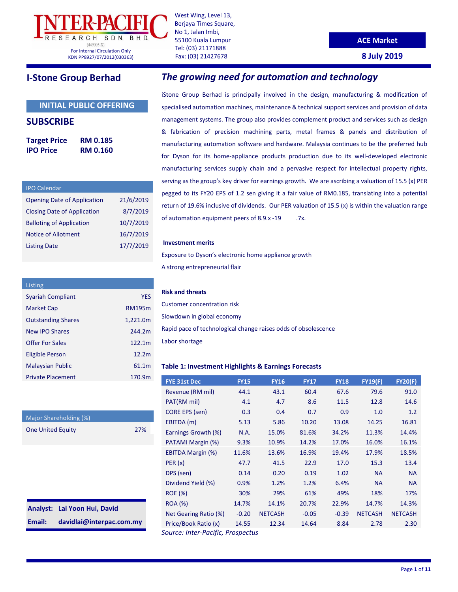

West Wing, Level 13, Berjaya Times Square, No 1, Jalan Imbi, 55100 Kuala Lumpur Tel: (03) 21171888 Fax: (03) 21427678

#### **ACE Market**

**8 July 2019**

### **INITIAL PUBLIC OFFERING**

### **SUBSCRIBE**

| <b>Target Price</b> | <b>RM 0.185</b> |
|---------------------|-----------------|
| <b>IPO Price</b>    | <b>RM 0.160</b> |

| <b>IPO Calendar</b>                |           |
|------------------------------------|-----------|
| <b>Opening Date of Application</b> | 21/6/2019 |
| <b>Closing Date of Application</b> | 8/7/2019  |
| <b>Balloting of Application</b>    | 10/7/2019 |
| <b>Notice of Allotment</b>         | 16/7/2019 |
| <b>Listing Date</b>                | 17/7/2019 |
|                                    |           |

| Listing                   |               |
|---------------------------|---------------|
| <b>Syariah Compliant</b>  | <b>YFS</b>    |
| <b>Market Cap</b>         | <b>RM195m</b> |
| <b>Outstanding Shares</b> | 1,221.0m      |
| New IPO Shares            | 244.2m        |
| Offer For Sales           | 122.1m        |
| Eligible Person           | 12.2m         |
| <b>Malaysian Public</b>   | 61.1m         |
| <b>Private Placement</b>  | 170.9m        |

| Major Shareholding (%)   |     |
|--------------------------|-----|
| <b>One United Equity</b> | 27% |

|        | Analyst: Lai Yoon Hui, David |
|--------|------------------------------|
| Email: | davidlai@interpac.com.my     |

# **I-Stone Group Berhad** *The growing need for automation and technology*

iStone Group Berhad is principally involved in the design, manufacturing & modification of specialised automation machines, maintenance & technical support services and provision of data management systems. The group also provides complement product and services such as design & fabrication of precision machining parts, metal frames & panels and distribution of manufacturing automation software and hardware. Malaysia continues to be the preferred hub for Dyson for its home-appliance products production due to its well-developed electronic manufacturing services supply chain and a pervasive respect for intellectual property rights, serving as the group's key driver for earnings growth. We are ascribing a valuation of 15.5 (x) PER pegged to its FY20 EPS of 1.2 sen giving it a fair value of RM0.185, translating into a potential return of 19.6% inclusive of dividends. Our PER valuation of 15.5 (x) is within the valuation range of automation equipment peers of 8.9.x -19 .7x.

#### **Investment merits**

Exposure to Dyson's electronic home appliance growth A strong entrepreneurial flair

### **Risk and threats**

Customer concentration risk Slowdown in global economy Rapid pace of technological change raises odds of obsolescence Labor shortage

#### **Table 1: Investment Highlights & Earnings Forecasts**

| <b>FYE 31st Dec</b>               | <b>FY15</b> | <b>FY16</b>    | <b>FY17</b> | <b>FY18</b> | <b>FY19(F)</b> | <b>FY20(F)</b> |
|-----------------------------------|-------------|----------------|-------------|-------------|----------------|----------------|
| Revenue (RM mil)                  | 44.1        | 43.1           | 60.4        | 67.6        | 79.6           | 91.0           |
| PAT(RM mil)                       | 4.1         | 4.7            | 8.6         | 11.5        | 12.8           | 14.6           |
| <b>CORE EPS (sen)</b>             | 0.3         | 0.4            | 0.7         | 0.9         | 1.0            | 1.2            |
| EBITDA (m)                        | 5.13        | 5.86           | 10.20       | 13.08       | 14.25          | 16.81          |
| Earnings Growth (%)               | N.A.        | 15.0%          | 81.6%       | 34.2%       | 11.3%          | 14.4%          |
| PATAMI Margin (%)                 | 9.3%        | 10.9%          | 14.2%       | 17.0%       | 16.0%          | 16.1%          |
| <b>EBITDA Margin (%)</b>          | 11.6%       | 13.6%          | 16.9%       | 19.4%       | 17.9%          | 18.5%          |
| PER(x)                            | 47.7        | 41.5           | 22.9        | 17.0        | 15.3           | 13.4           |
| DPS (sen)                         | 0.14        | 0.20           | 0.19        | 1.02        | <b>NA</b>      | <b>NA</b>      |
| Dividend Yield (%)                | 0.9%        | 1.2%           | 1.2%        | 6.4%        | <b>NA</b>      | <b>NA</b>      |
| <b>ROE</b> (%)                    | 30%         | 29%            | 61%         | 49%         | 18%            | 17%            |
| <b>ROA</b> (%)                    | 14.7%       | 14.1%          | 20.7%       | 22.9%       | 14.7%          | 14.3%          |
| Net Gearing Ratio (%)             | $-0.20$     | <b>NETCASH</b> | $-0.05$     | $-0.39$     | <b>NETCASH</b> | <b>NETCASH</b> |
| Price/Book Ratio (x)              | 14.55       | 12.34          | 14.64       | 8.84        | 2.78           | 2.30           |
| Source: Inter-Pacific, Prospectus |             |                |             |             |                |                |

Page **1** of **11**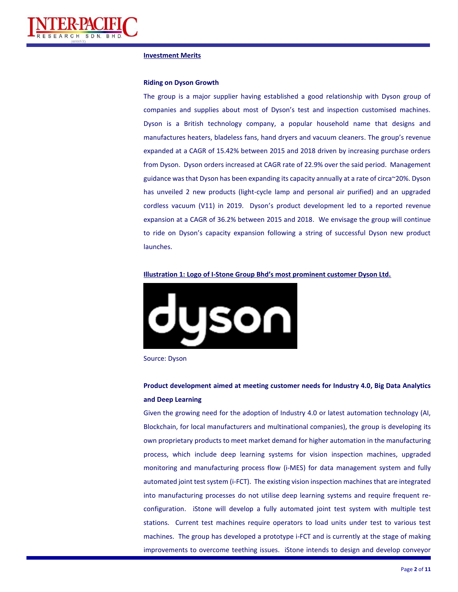

#### **Investment Merits**

#### **Riding on Dyson Growth**

The group is a major supplier having established a good relationship with Dyson group of companies and supplies about most of Dyson's test and inspection customised machines. Dyson is a British technology company, a popular household name that designs and manufactures heaters, bladeless fans, hand dryers and vacuum cleaners. The group's revenue expanded at a CAGR of 15.42% between 2015 and 2018 driven by increasing purchase orders from Dyson. Dyson orders increased at CAGR rate of 22.9% over the said period. Management guidance was that Dyson has been expanding its capacity annually at a rate of circa~20%. Dyson has unveiled 2 new products (light-cycle lamp and personal air purified) and an upgraded cordless vacuum (V11) in 2019. Dyson's product development led to a reported revenue expansion at a CAGR of 36.2% between 2015 and 2018. We envisage the group will continue to ride on Dyson's capacity expansion following a string of successful Dyson new product launches.

#### **Illustration 1: Logo of I-Stone Group Bhd's most prominent customer Dyson Ltd.**



Source: Dyson

### **Product development aimed at meeting customer needs for Industry 4.0, Big Data Analytics and Deep Learning**

Given the growing need for the adoption of Industry 4.0 or latest automation technology (AI, Blockchain, for local manufacturers and multinational companies), the group is developing its own proprietary products to meet market demand for higher automation in the manufacturing process, which include deep learning systems for vision inspection machines, upgraded monitoring and manufacturing process flow (i-MES) for data management system and fully automated joint test system (i-FCT). The existing vision inspection machines that are integrated into manufacturing processes do not utilise deep learning systems and require frequent reconfiguration. iStone will develop a fully automated joint test system with multiple test stations. Current test machines require operators to load units under test to various test machines. The group has developed a prototype i-FCT and is currently at the stage of making improvements to overcome teething issues. iStone intends to design and develop conveyor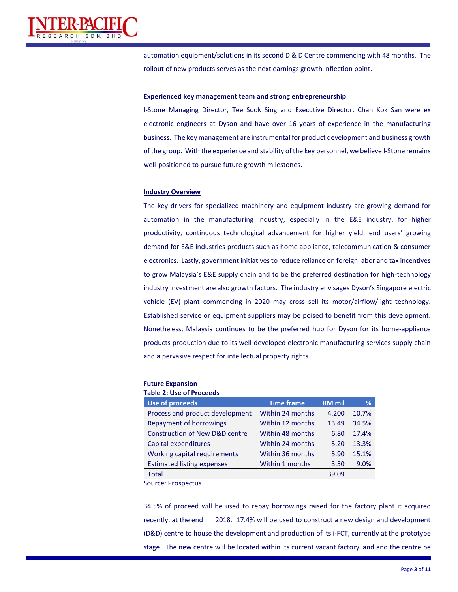

automation equipment/solutions in its second D & D Centre commencing with 48 months. The rollout of new products serves as the next earnings growth inflection point.

#### **Experienced key management team and strong entrepreneurship**

I-Stone Managing Director, Tee Sook Sing and Executive Director, Chan Kok San were ex electronic engineers at Dyson and have over 16 years of experience in the manufacturing business. The key management are instrumental for product development and business growth of the group. With the experience and stability of the key personnel, we believe I-Stone remains well-positioned to pursue future growth milestones.

#### **Industry Overview**

The key drivers for specialized machinery and equipment industry are growing demand for automation in the manufacturing industry, especially in the E&E industry, for higher productivity, continuous technological advancement for higher yield, end users' growing demand for E&E industries products such as home appliance, telecommunication & consumer electronics. Lastly, government initiatives to reduce reliance on foreign labor and tax incentives to grow Malaysia's E&E supply chain and to be the preferred destination for high-technology industry investment are also growth factors. The industry envisages Dyson's Singapore electric vehicle (EV) plant commencing in 2020 may cross sell its motor/airflow/light technology. Established service or equipment suppliers may be poised to benefit from this development. Nonetheless, Malaysia continues to be the preferred hub for Dyson for its home-appliance products production due to its well-developed electronic manufacturing services supply chain and a pervasive respect for intellectual property rights.

**Future Expansion Table 2: Use of Proceeds**

| TADIE Z. OSE UI FIULEEUS                  |                   |               |       |
|-------------------------------------------|-------------------|---------------|-------|
| <b>Use of proceeds</b>                    | <b>Time frame</b> | <b>RM</b> mil | %     |
| Process and product development           | Within 24 months  | 4.200         | 10.7% |
| Repayment of borrowings                   | Within 12 months  | 13.49         | 34.5% |
| <b>Construction of New D&amp;D centre</b> | Within 48 months  | 6.80          | 17.4% |
| Capital expenditures                      | Within 24 months  | 5.20          | 13.3% |
| Working capital requirements              | Within 36 months  | 5.90          | 15.1% |
| <b>Estimated listing expenses</b>         | Within 1 months   | 3.50          | 9.0%  |
| <b>Total</b>                              |                   | 39.09         |       |
|                                           |                   |               |       |

Source: Prospectus

34.5% of proceed will be used to repay borrowings raised for the factory plant it acquired recently, at the end 2018. 17.4% will be used to construct a new design and development (D&D) centre to house the development and production of its i-FCT, currently at the prototype stage. The new centre will be located within its current vacant factory land and the centre be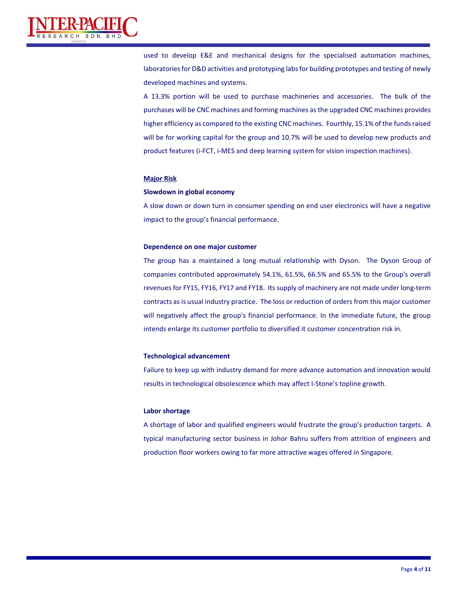

used to develop E&E and mechanical designs for the specialised automation machines, laboratories for D&D activities and prototyping labs for building prototypes and testing of newly developed machines and systems.

A 13.3% portion will be used to purchase machineries and accessories. The bulk of the purchases will be CNC machines and forming machines as the upgraded CNC machines provides higher efficiency as compared to the existing CNC machines. Fourthly, 15.1% of the funds raised will be for working capital for the group and 10.7% will be used to develop new products and product features (i-FCT, i-MES and deep learning system for vision inspection machines).

#### **Major Risk**

#### **Slowdown in global economy**

A slow down or down turn in consumer spending on end user electronics will have a negative impact to the group's financial performance.

#### **Dependence on one major customer**

The group has a maintained a long mutual relationship with Dyson. The Dyson Group of companies contributed approximately 54.1%, 61.5%, 66.5% and 65.5% to the Group's overall revenues for FY15, FY16, FY17 and FY18. Its supply of machinery are not made under long-term contracts as is usual industry practice. The loss or reduction of orders from this major customer will negatively affect the group's financial performance. In the immediate future, the group intends enlarge its customer portfolio to diversified it customer concentration risk in.

#### **Technological advancement**

Failure to keep up with industry demand for more advance automation and innovation would results in technological obsolescence which may affect I-Stone's topline growth.

#### **Labor shortage**

A shortage of labor and qualified engineers would frustrate the group's production targets. A typical manufacturing sector business in Johor Bahru suffers from attrition of engineers and production floor workers owing to far more attractive wages offered in Singapore.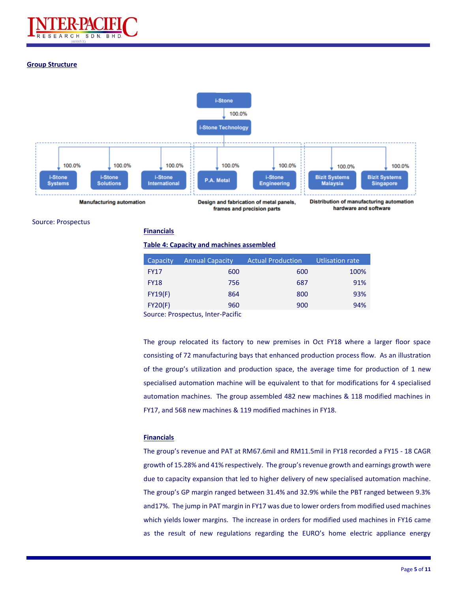

#### **Group Structure**



Source: Prospectus

**Financials**

#### **Table 4: Capacity and machines assembled**

| Capacity         | <b>Annual Capacity</b> | <b>Actual Production</b> | <b>Utlisation rate</b> |
|------------------|------------------------|--------------------------|------------------------|
| <b>FY17</b>      | 600                    | 600                      | 100%                   |
| <b>FY18</b>      | 756                    | 687                      | 91%                    |
| FY19(F)          | 864                    | 800                      | 93%                    |
| FY20(F)          | 960                    | 900                      | 94%                    |
| $\sim$<br>$\sim$ |                        |                          |                        |

Source: Prospectus, Inter-Pacific

The group relocated its factory to new premises in Oct FY18 where a larger floor space consisting of 72 manufacturing bays that enhanced production process flow. As an illustration of the group's utilization and production space, the average time for production of 1 new specialised automation machine will be equivalent to that for modifications for 4 specialised automation machines. The group assembled 482 new machines & 118 modified machines in FY17, and 568 new machines & 119 modified machines in FY18.

#### **Financials**

The group's revenue and PAT at RM67.6mil and RM11.5mil in FY18 recorded a FY15 - 18 CAGR growth of 15.28% and 41% respectively. The group's revenue growth and earnings growth were due to capacity expansion that led to higher delivery of new specialised automation machine. The group's GP margin ranged between 31.4% and 32.9% while the PBT ranged between 9.3% and17%. The jump in PAT margin in FY17 was due to lower orders from modified used machines which yields lower margins. The increase in orders for modified used machines in FY16 came as the result of new regulations regarding the EURO's home electric appliance energy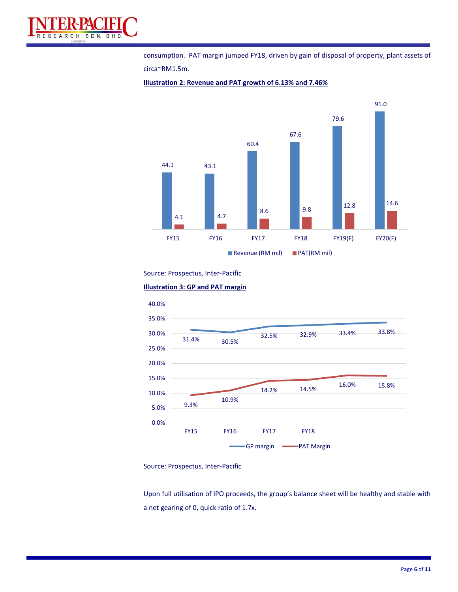

consumption. PAT margin jumped FY18, driven by gain of disposal of property, plant assets of circa~RM1.5m.



**Illustration 2: Revenue and PAT growth of 6.13% and 7.46%**

#### Source: Prospectus, Inter-Pacific





Source: Prospectus, Inter-Pacific

Upon full utilisation of IPO proceeds, the group's balance sheet will be healthy and stable with a net gearing of 0, quick ratio of 1.7x.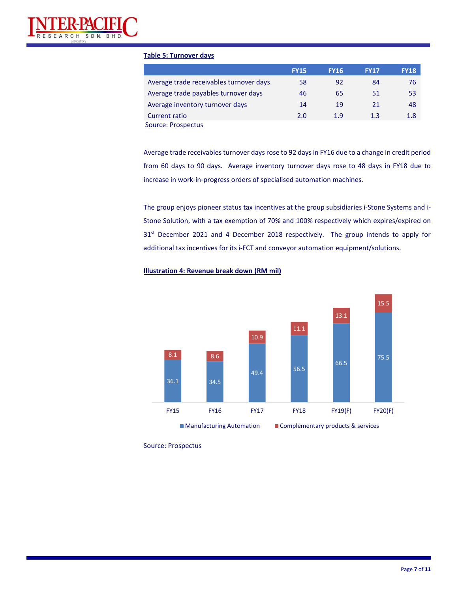

#### **Table 5: Turnover days**

|                                         | <b>FY15</b> | <b>FY16</b> | <b>FY17</b> | <b>FY18</b> |
|-----------------------------------------|-------------|-------------|-------------|-------------|
| Average trade receivables turnover days | 58          | 92          | 84          | 76          |
| Average trade payables turnover days    | 46          | 65          | 51          | 53          |
| Average inventory turnover days         | 14          | 19          | 21          | 48          |
| Current ratio                           | 2.0         | 1.9         | 1.3         | 1.8         |
| Source: Prospectus                      |             |             |             |             |

Average trade receivables turnover days rose to 92 days in FY16 due to a change in credit period from 60 days to 90 days. Average inventory turnover days rose to 48 days in FY18 due to increase in work-in-progress orders of specialised automation machines.

The group enjoys pioneer status tax incentives at the group subsidiaries i-Stone Systems and i-Stone Solution, with a tax exemption of 70% and 100% respectively which expires/expired on 31<sup>st</sup> December 2021 and 4 December 2018 respectively. The group intends to apply for additional tax incentives for its i-FCT and conveyor automation equipment/solutions.





Source: Prospectus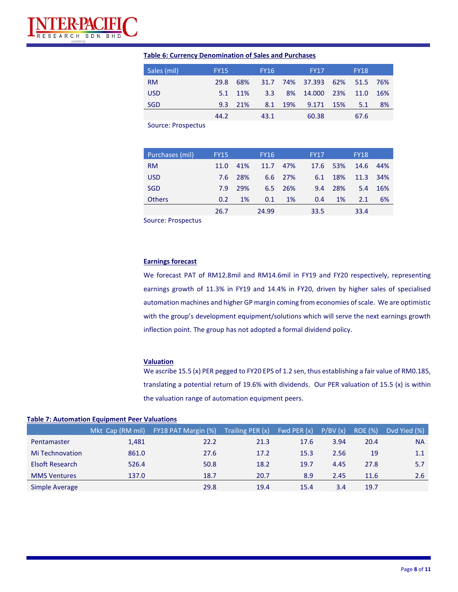

### **Table 6: Currency Denomination of Sales and Purchases**

| Sales (mil) | <b>FY15</b> |         | <b>FY16</b> | <b>FY17</b>                  | <b>FY18</b> |     |
|-------------|-------------|---------|-------------|------------------------------|-------------|-----|
| <b>RM</b>   | 29.8        | - 68%   |             | 31.7 74% 37.393 62% 51.5 76% |             |     |
| <b>USD</b>  |             | 5.1 11% | 3.3         | 8% 14.000 23% 11.0           |             | 16% |
| SGD         |             | 9.3 21% |             | 8.1 19% 9.171 15%            | 5.1         | 8%  |
|             | 44.2        |         | 43.1        | 60.38                        | 67.6        |     |

Source: Prospectus

| Purchases (mil) | <b>FY15</b> |           | <b>FY16</b> |           | <b>FY17</b> |            | <b>FY18</b> |      |
|-----------------|-------------|-----------|-------------|-----------|-------------|------------|-------------|------|
| <b>RM</b>       | 11.0        | 41%       | 11.7 47%    |           |             | 17.6 53%   | 14.6        | 44%  |
| <b>USD</b>      | 7.6         | -28%      |             | 6.6 27%   | 6.1         | 18%        | 11.3        | -34% |
| <b>SGD</b>      | 7.9         | 29%       |             | 6.5 26%   | 9.4         | <b>28%</b> | 5.4         | 16%  |
| <b>Others</b>   | 0.2         | <b>1%</b> | 0.1         | <b>1%</b> | 0.4         | 1%         | 2.1         | 6%   |
|                 | 26.7        |           | 24.99       |           | 33.5        |            | 33.4        |      |

Source: Prospectus

### **Earnings forecast**

We forecast PAT of RM12.8mil and RM14.6mil in FY19 and FY20 respectively, representing earnings growth of 11.3% in FY19 and 14.4% in FY20, driven by higher sales of specialised automation machines and higher GP margin coming from economies of scale. We are optimistic with the group's development equipment/solutions which will serve the next earnings growth inflection point. The group has not adopted a formal dividend policy.

#### **Valuation**

We ascribe 15.5 (x) PER pegged to FY20 EPS of 1.2 sen, thus establishing a fair value of RM0.185, translating a potential return of 19.6% with dividends. Our PER valuation of 15.5 (x) is within the valuation range of automation equipment peers.

|                        | Mkt Cap (RM mil) | FY18 PAT Margin (%) | Trailing PER $(x)$ | Fwd PER (x) | P/BV(x) | ROE (%) | Dyd Yied (%) |
|------------------------|------------------|---------------------|--------------------|-------------|---------|---------|--------------|
| Pentamaster            | 1.481            | 22.2                | 21.3               | 17.6        | 3.94    | 20.4    | <b>NA</b>    |
| <b>Mi Technovation</b> | 861.0            | 27.6                | 17.2               | 15.3        | 2.56    | 19      | 1.1          |
| Elsoft Research        | 526.4            | 50.8                | 18.2               | 19.7        | 4.45    | 27.8    | 5.7          |
| <b>MMS Ventures</b>    | 137.0            | 18.7                | 20.7               | 8.9         | 2.45    | 11.6    | 2.6          |
| Simple Average         |                  | 29.8                | 19.4               | 15.4        | 3.4     | 19.7    |              |

#### **Table 7: Automation Equipment Peer Valuations**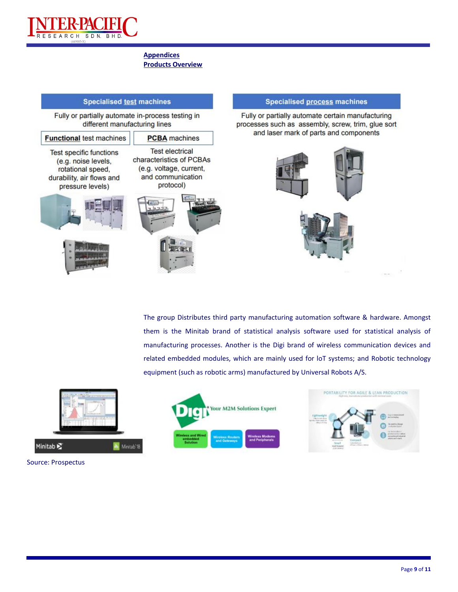

#### **Appendices Products Overview**

#### **Specialised test machines** Fully or partially automate in-process testing in different manufacturing lines **Functional test machines PCBA** machines **Test electrical Test specific functions** characteristics of PCBAs (e.g. noise levels, (e.g. voltage, current, rotational speed, and communication durability, air flows and protocol) pressure levels)









#### **Specialised process machines**

Fully or partially automate certain manufacturing processes such as assembly, screw, trim, glue sort and laser mark of parts and components



The group Distributes third party manufacturing automation software & hardware. Amongst them is the Minitab brand of statistical analysis software used for statistical analysis of manufacturing processes. Another is the Digi brand of wireless communication devices and related embedded modules, which are mainly used for loT systems; and Robotic technology equipment (such as robotic arms) manufactured by Universal Robots A/S.



Source: Prospectus



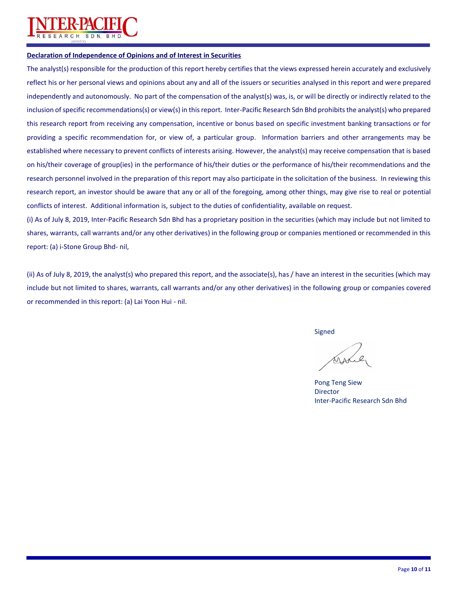

#### **Declaration of Independence of Opinions and of Interest in Securities**

The analyst(s) responsible for the production of this report hereby certifies that the views expressed herein accurately and exclusively reflect his or her personal views and opinions about any and all of the issuers or securities analysed in this report and were prepared independently and autonomously. No part of the compensation of the analyst(s) was, is, or will be directly or indirectly related to the inclusion of specific recommendations(s) or view(s) in this report. Inter-Pacific Research Sdn Bhd prohibits the analyst(s) who prepared this research report from receiving any compensation, incentive or bonus based on specific investment banking transactions or for providing a specific recommendation for, or view of, a particular group. Information barriers and other arrangements may be established where necessary to prevent conflicts of interests arising. However, the analyst(s) may receive compensation that is based on his/their coverage of group(ies) in the performance of his/their duties or the performance of his/their recommendations and the research personnel involved in the preparation of this report may also participate in the solicitation of the business. In reviewing this research report, an investor should be aware that any or all of the foregoing, among other things, may give rise to real or potential conflicts of interest. Additional information is, subject to the duties of confidentiality, available on request.

(i) As of July 8, 2019, Inter-Pacific Research Sdn Bhd has a proprietary position in the securities (which may include but not limited to shares, warrants, call warrants and/or any other derivatives) in the following group or companies mentioned or recommended in this report: (a) i-Stone Group Bhd- nil,

(ii) As of July 8, 2019, the analyst(s) who prepared this report, and the associate(s), has / have an interest in the securities (which may include but not limited to shares, warrants, call warrants and/or any other derivatives) in the following group or companies covered or recommended in this report: (a) Lai Yoon Hui - nil.

Signed

Pong Teng Siew Director Inter-Pacific Research Sdn Bhd